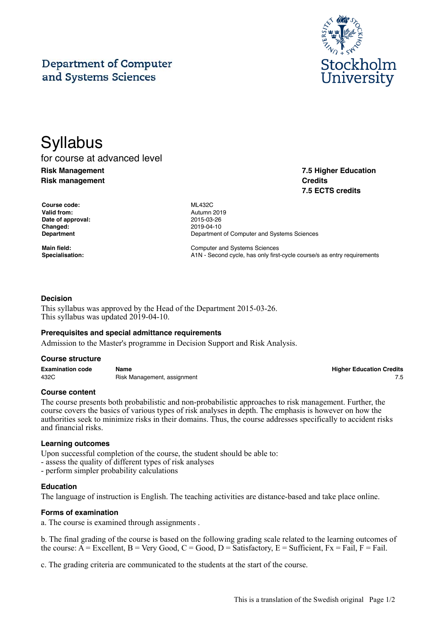# **Department of Computer** and Systems Sciences



**7.5 Higher Education**

**7.5 ECTS credits**

**Credits**

# **Syllabus** for course at advanced level **Risk Management Risk management**

**Course code:** ML432C **Valid from:** Autumn 2019 **Date of approval:** 2015-03-26 **Changed:** 2019-04-10

**Department** Department Department of Computer and Systems Sciences

**Main field:** Computer and Systems Sciences Specialisation: **A1N** - Second cycle, has only first-cycle course/s as entry requirements

## **Decision**

This syllabus was approved by the Head of the Department 2015-03-26. This syllabus was updated 2019-04-10.

### **Prerequisites and special admittance requirements**

Admission to the Master's programme in Decision Support and Risk Analysis.

### **Course structure**

**Examination code Name Higher Education Credits** Asset Asset Assignment, assignment and the Control of Control of Control of Control of Control of Control of Co

### **Course content**

The course presents both probabilistic and non-probabilistic approaches to risk management. Further, the course covers the basics of various types of risk analyses in depth. The emphasis is however on how the authorities seek to minimize risks in their domains. Thus, the course addresses specifically to accident risks and financial risks.

### **Learning outcomes**

Upon successful completion of the course, the student should be able to:

- assess the quality of different types of risk analyses

- perform simpler probability calculations

#### **Education**

The language of instruction is English. The teaching activities are distance-based and take place online.

### **Forms of examination**

a. The course is examined through assignments .

b. The final grading of the course is based on the following grading scale related to the learning outcomes of the course:  $A =$  Excellent,  $B =$  Very Good,  $C =$  Good,  $D =$  Satisfactory,  $E =$  Sufficient,  $Fx =$  Fail,  $F =$  Fail.

c. The grading criteria are communicated to the students at the start of the course.